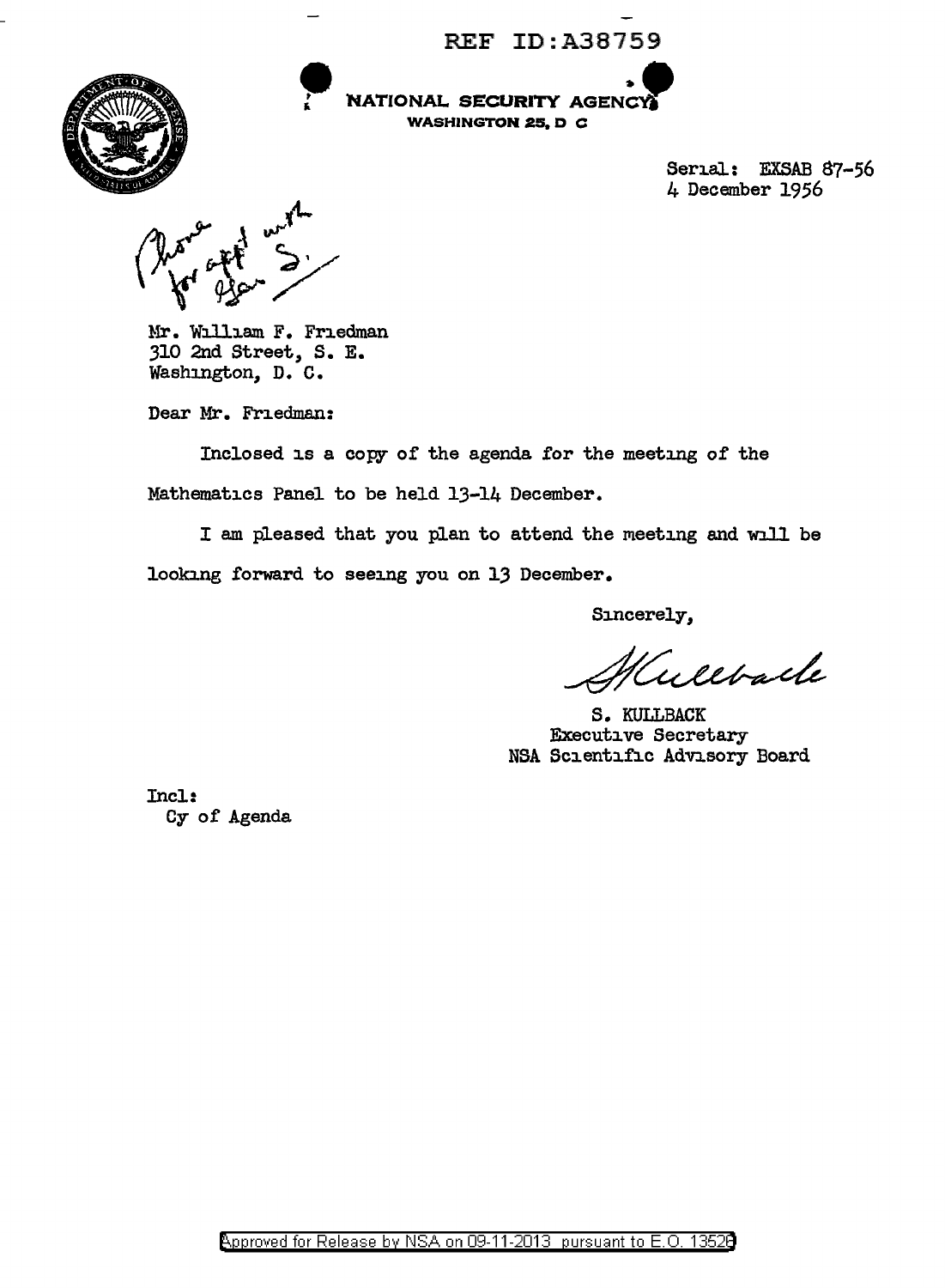REF ID:A38759



**NATIONAL SECURITY AGENCY** 

Serial: EXSAB 87-56 4 December 1956

Mr. William F. Friedman 310 2nd Street, S. E. Washmgton, D. C.

Dear Mr. Friedman:

Inclosed is a copy of the agenda for the meeting of the Mathematics Panel to be held 13-14 December.

<sup>I</sup>am pleased that you plan to attend the meeting and will be looking forward to seeing you on 13 December.

Sincerely,

ultback

S. KULLBACK Executive Secretary NSA Scientific Advisory Board

Incl: Cy of Agenda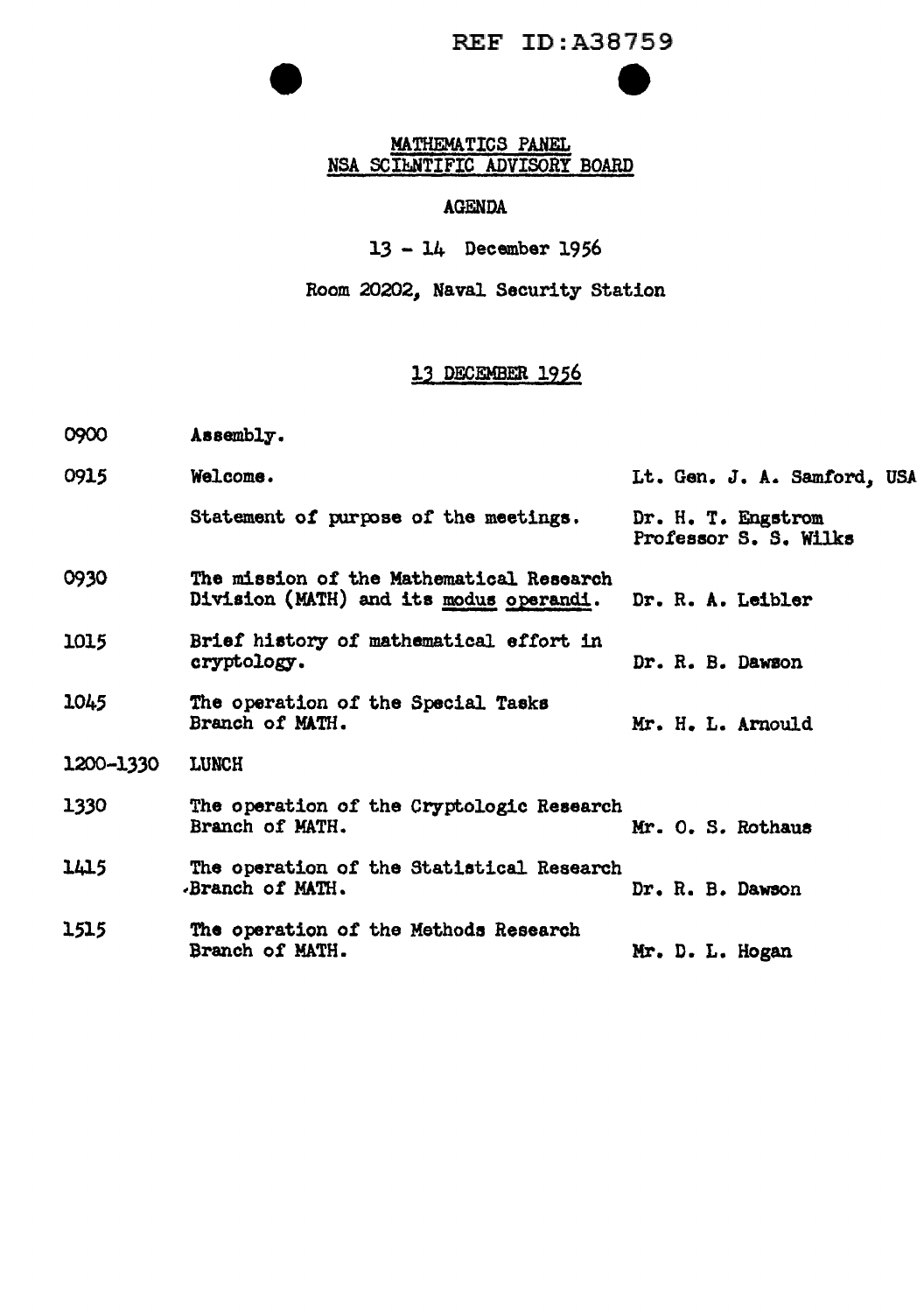# REF ID:A38759 e

#### MATHEMATICS PANEL NSA SCIENTIFIC ADVISORY BOARD

#### AGENDA

13 - 14 December 1956

Room 20202, Naval Security Station

#### 13 DECEMBER 1956

- 0900 Assembly.
- 0915 Welcome. Statement of purpose of the meetings. 0930 The mission of the Mathematical Research Lt. Gen. J. A. Samford, USA Dr. H. T. Engstrom Professor S. S. Wilks Division (MATH) and its modus operandi. Dr. R. A. Leibler 1015 Brief history of mathematical effort in cryptology. Dr. R. B. Dawson 1045 The operation of the Special Tasks<br>Branch of MATH. Mr. H. L. Arnould 1200-1330 LUNCH 1330 The operation of the Cryptologic Research<br>Branch of MATH. Mr. O. S. Rothaus 1415 The operation of the Statistical Research Dr. R. B. Dawson 1515 The operation of the Methods Research<br>Branch of MATH. Mr. D. L. Hogan